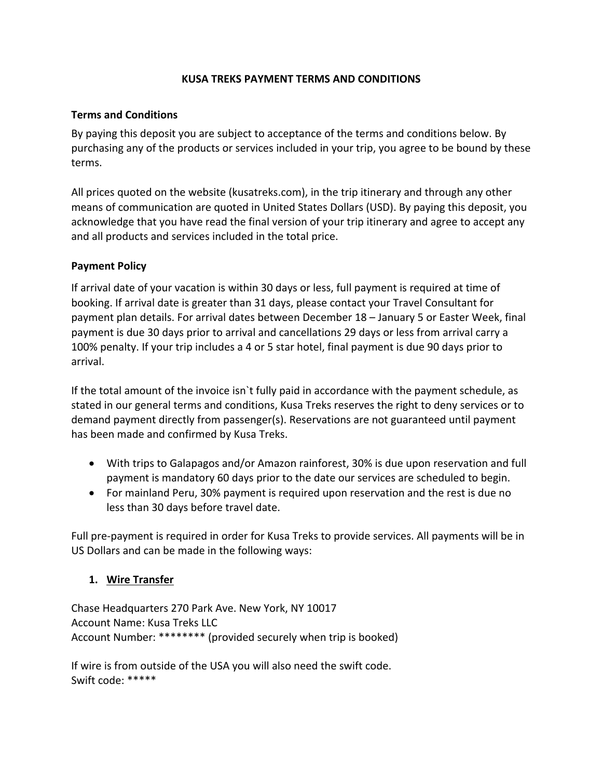## **KUSA TREKS PAYMENT TERMS AND CONDITIONS**

#### **Terms and Conditions**

By paying this deposit you are subject to acceptance of the terms and conditions below. By purchasing any of the products or services included in your trip, you agree to be bound by these terms.

All prices quoted on the website (kusatreks.com), in the trip itinerary and through any other means of communication are quoted in United States Dollars (USD). By paying this deposit, you acknowledge that you have read the final version of your trip itinerary and agree to accept any and all products and services included in the total price.

## **Payment Policy**

If arrival date of your vacation is within 30 days or less, full payment is required at time of booking. If arrival date is greater than 31 days, please contact your Travel Consultant for payment plan details. For arrival dates between December 18 – January 5 or Easter Week, final payment is due 30 days prior to arrival and cancellations 29 days or less from arrival carry a 100% penalty. If your trip includes a 4 or 5 star hotel, final payment is due 90 days prior to arrival.

If the total amount of the invoice isn`t fully paid in accordance with the payment schedule, as stated in our general terms and conditions, Kusa Treks reserves the right to deny services or to demand payment directly from passenger(s). Reservations are not guaranteed until payment has been made and confirmed by Kusa Treks.

- With trips to Galapagos and/or Amazon rainforest, 30% is due upon reservation and full payment is mandatory 60 days prior to the date our services are scheduled to begin.
- For mainland Peru, 30% payment is required upon reservation and the rest is due no less than 30 days before travel date.

Full pre-payment is required in order for Kusa Treks to provide services. All payments will be in US Dollars and can be made in the following ways:

# **1. Wire Transfer**

Chase Headquarters 270 Park Ave. New York, NY 10017 Account Name: Kusa Treks LLC Account Number: \*\*\*\*\*\*\*\* (provided securely when trip is booked)

If wire is from outside of the USA you will also need the swift code. Swift code: \*\*\*\*\*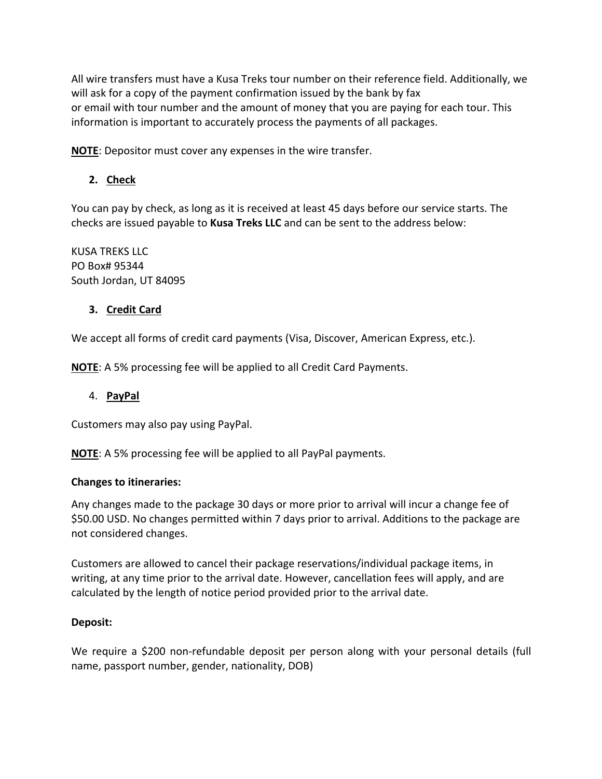All wire transfers must have a Kusa Treks tour number on their reference field. Additionally, we will ask for a copy of the payment confirmation issued by the bank by fax or email with tour number and the amount of money that you are paying for each tour. This information is important to accurately process the payments of all packages.

**NOTE**: Depositor must cover any expenses in the wire transfer.

# **2. Check**

You can pay by check, as long as it is received at least 45 days before our service starts. The checks are issued payable to **Kusa Treks LLC** and can be sent to the address below:

KUSA TREKS LLC PO Box# 95344 South Jordan, UT 84095

# **3. Credit Card**

We accept all forms of credit card payments (Visa, Discover, American Express, etc.).

**NOTE**: A 5% processing fee will be applied to all Credit Card Payments.

#### 4. **PayPal**

Customers may also pay using PayPal.

**NOTE**: A 5% processing fee will be applied to all PayPal payments.

#### **Changes to itineraries:**

Any changes made to the package 30 days or more prior to arrival will incur a change fee of \$50.00 USD. No changes permitted within 7 days prior to arrival. Additions to the package are not considered changes.

Customers are allowed to cancel their package reservations/individual package items, in writing, at any time prior to the arrival date. However, cancellation fees will apply, and are calculated by the length of notice period provided prior to the arrival date.

#### **Deposit:**

We require a \$200 non-refundable deposit per person along with your personal details (full name, passport number, gender, nationality, DOB)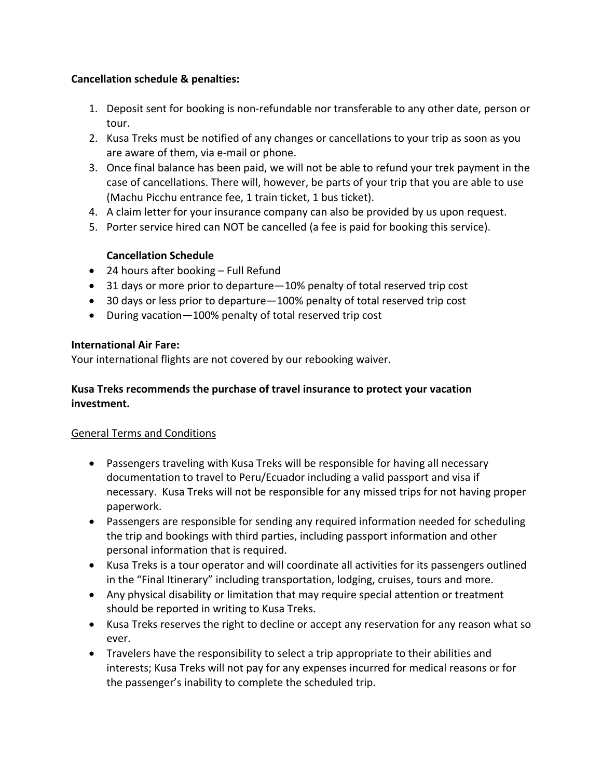# **Cancellation schedule & penalties:**

- 1. Deposit sent for booking is non-refundable nor transferable to any other date, person or tour.
- 2. Kusa Treks must be notified of any changes or cancellations to your trip as soon as you are aware of them, via e-mail or phone.
- 3. Once final balance has been paid, we will not be able to refund your trek payment in the case of cancellations. There will, however, be parts of your trip that you are able to use (Machu Picchu entrance fee, 1 train ticket, 1 bus ticket).
- 4. A claim letter for your insurance company can also be provided by us upon request.
- 5. Porter service hired can NOT be cancelled (a fee is paid for booking this service).

# **Cancellation Schedule**

- 24 hours after booking Full Refund
- 31 days or more prior to departure—10% penalty of total reserved trip cost
- 30 days or less prior to departure—100% penalty of total reserved trip cost
- During vacation—100% penalty of total reserved trip cost

## **International Air Fare:**

Your international flights are not covered by our rebooking waiver.

# **Kusa Treks recommends the purchase of travel insurance to protect your vacation investment.**

# General Terms and Conditions

- Passengers traveling with Kusa Treks will be responsible for having all necessary documentation to travel to Peru/Ecuador including a valid passport and visa if necessary. Kusa Treks will not be responsible for any missed trips for not having proper paperwork.
- Passengers are responsible for sending any required information needed for scheduling the trip and bookings with third parties, including passport information and other personal information that is required.
- Kusa Treks is a tour operator and will coordinate all activities for its passengers outlined in the "Final Itinerary" including transportation, lodging, cruises, tours and more.
- Any physical disability or limitation that may require special attention or treatment should be reported in writing to Kusa Treks.
- Kusa Treks reserves the right to decline or accept any reservation for any reason what so ever.
- Travelers have the responsibility to select a trip appropriate to their abilities and interests; Kusa Treks will not pay for any expenses incurred for medical reasons or for the passenger's inability to complete the scheduled trip.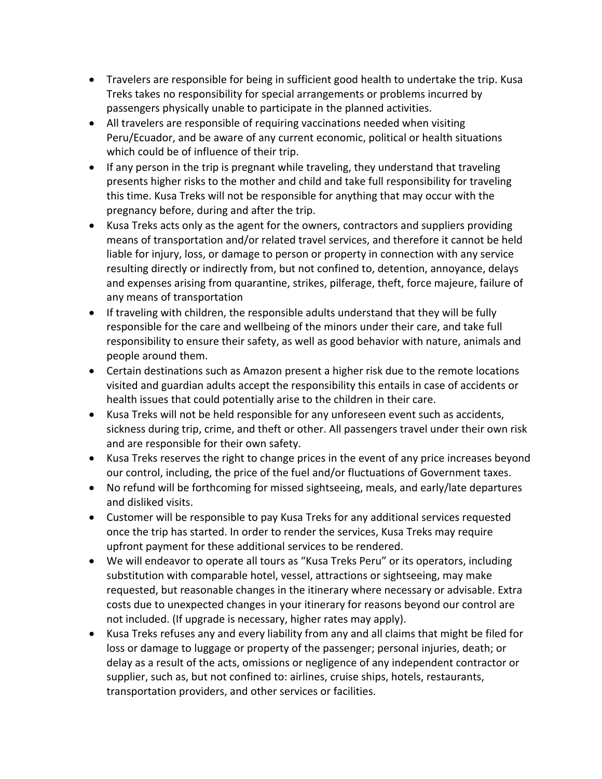- Travelers are responsible for being in sufficient good health to undertake the trip. Kusa Treks takes no responsibility for special arrangements or problems incurred by passengers physically unable to participate in the planned activities.
- All travelers are responsible of requiring vaccinations needed when visiting Peru/Ecuador, and be aware of any current economic, political or health situations which could be of influence of their trip.
- If any person in the trip is pregnant while traveling, they understand that traveling presents higher risks to the mother and child and take full responsibility for traveling this time. Kusa Treks will not be responsible for anything that may occur with the pregnancy before, during and after the trip.
- Kusa Treks acts only as the agent for the owners, contractors and suppliers providing means of transportation and/or related travel services, and therefore it cannot be held liable for injury, loss, or damage to person or property in connection with any service resulting directly or indirectly from, but not confined to, detention, annoyance, delays and expenses arising from quarantine, strikes, pilferage, theft, force majeure, failure of any means of transportation
- If traveling with children, the responsible adults understand that they will be fully responsible for the care and wellbeing of the minors under their care, and take full responsibility to ensure their safety, as well as good behavior with nature, animals and people around them.
- Certain destinations such as Amazon present a higher risk due to the remote locations visited and guardian adults accept the responsibility this entails in case of accidents or health issues that could potentially arise to the children in their care.
- Kusa Treks will not be held responsible for any unforeseen event such as accidents, sickness during trip, crime, and theft or other. All passengers travel under their own risk and are responsible for their own safety.
- Kusa Treks reserves the right to change prices in the event of any price increases beyond our control, including, the price of the fuel and/or fluctuations of Government taxes.
- No refund will be forthcoming for missed sightseeing, meals, and early/late departures and disliked visits.
- Customer will be responsible to pay Kusa Treks for any additional services requested once the trip has started. In order to render the services, Kusa Treks may require upfront payment for these additional services to be rendered.
- We will endeavor to operate all tours as "Kusa Treks Peru" or its operators, including substitution with comparable hotel, vessel, attractions or sightseeing, may make requested, but reasonable changes in the itinerary where necessary or advisable. Extra costs due to unexpected changes in your itinerary for reasons beyond our control are not included. (If upgrade is necessary, higher rates may apply).
- Kusa Treks refuses any and every liability from any and all claims that might be filed for loss or damage to luggage or property of the passenger; personal injuries, death; or delay as a result of the acts, omissions or negligence of any independent contractor or supplier, such as, but not confined to: airlines, cruise ships, hotels, restaurants, transportation providers, and other services or facilities.